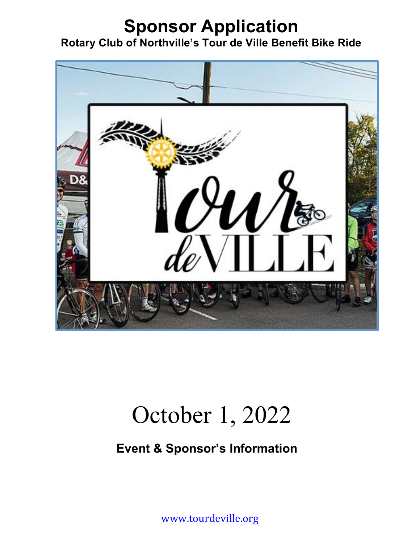## **Sponsor Application Rotary Club of Northville's Tour de Ville Benefit Bike Ride**



# October 1, 2022

### **Event & Sponsor's Information**

www.tourdeville.org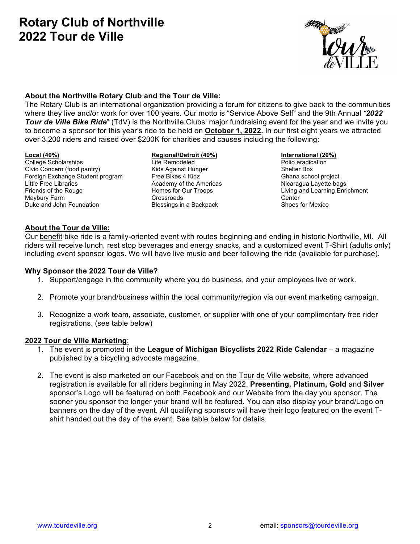### **Rotary Club of Northville 2022 Tour de Ville**



#### **About the Northville Rotary Club and the Tour de Ville:**

The Rotary Club is an international organization providing a forum for citizens to give back to the communities where they live and/or work for over 100 years. Our motto is "Service Above Self" and the 9th Annual *"2022 Tour de Ville Bike Ride*" (TdV) is the Northville Clubs' major fundraising event for the year and we invite you to become a sponsor for this year's ride to be held on **October 1, 2022.** In our first eight years we attracted over 3,200 riders and raised over \$200K for charities and causes including the following:

College Scholarships Civic Concern (food pantry) Foreign Exchange Student program Little Free Libraries Friends of the Rouge Maybury Farm Duke and John Foundation

#### **Local (40%) Regional/Detroit (40%) International (20%)**

Life Remodeled Kids Against Hunger Free Bikes 4 Kidz Academy of the Americas Homes for Our Troops Crossroads Blessings in a Backpack

Polio eradication Shelter Box Ghana school project Nicaragua Layette bags Living and Learning Enrichment **Center** Shoes for Mexico

#### **About the Tour de Ville:**

Our benefit bike ride is a family-oriented event with routes beginning and ending in historic Northville, MI. All riders will receive lunch, rest stop beverages and energy snacks, and a customized event T-Shirt (adults only) including event sponsor logos. We will have live music and beer following the ride (available for purchase).

#### **Why Sponsor the 2022 Tour de Ville?**

- 1. Support/engage in the community where you do business, and your employees live or work.
- 2. Promote your brand/business within the local community/region via our event marketing campaign.
- 3. Recognize a work team, associate, customer, or supplier with one of your complimentary free rider registrations. (see table below)

#### **2022 Tour de Ville Marketing**:

- 1. The event is promoted in the **League of Michigan Bicyclists 2022 Ride Calendar** a magazine published by a bicycling advocate magazine.
- 2. The event is also marketed on our Facebook and on the Tour de Ville website, where advanced registration is available for all riders beginning in May 2022. **Presenting, Platinum, Gold** and **Silver** sponsor's Logo will be featured on both Facebook and our Website from the day you sponsor. The sooner you sponsor the longer your brand will be featured. You can also display your brand/Logo on banners on the day of the event. All qualifying sponsors will have their logo featured on the event Tshirt handed out the day of the event. See table below for details.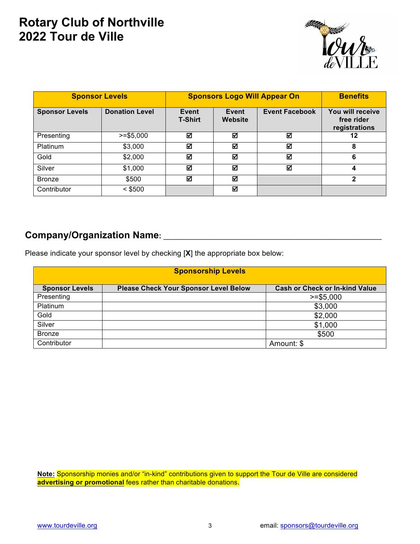### **Rotary Club of Northville 2022 Tour de Ville**



| <b>Sponsor Levels</b> |                       | <b>Sponsors Logo Will Appear On</b> |                  |                       | <b>Benefits</b>                                 |
|-----------------------|-----------------------|-------------------------------------|------------------|-----------------------|-------------------------------------------------|
| <b>Sponsor Levels</b> | <b>Donation Level</b> | Event<br><b>T-Shirt</b>             | Event<br>Website | <b>Event Facebook</b> | You will receive<br>free rider<br>registrations |
| Presenting            | $>=$ \$5.000          | ☑                                   | ☑                | ☑                     | 12                                              |
| <b>Platinum</b>       | \$3,000               | ☑                                   | ☑                | ☑                     | 8                                               |
| Gold                  | \$2,000               | ☑                                   | ☑                | ☑                     | 6                                               |
| Silver                | \$1,000               | ☑                                   | ☑                | ☑                     | 4                                               |
| <b>Bronze</b>         | \$500                 | М                                   | ☑                |                       | $\mathbf{2}$                                    |
| Contributor           | $<$ \$500             |                                     | ☑                |                       |                                                 |

### **Company/Organization Name:** \_\_\_\_\_\_\_\_\_\_\_\_\_\_\_\_\_\_\_\_\_\_\_\_\_\_\_\_\_\_\_\_\_\_\_\_\_\_\_\_\_\_\_\_\_\_\_\_\_\_\_\_

I

Please indicate your sponsor level by checking [**X**] the appropriate box below:

| <b>Sponsorship Levels</b> |                                              |                                       |  |  |  |  |
|---------------------------|----------------------------------------------|---------------------------------------|--|--|--|--|
| <b>Sponsor Levels</b>     | <b>Please Check Your Sponsor Level Below</b> | <b>Cash or Check or In-kind Value</b> |  |  |  |  |
| Presenting                |                                              | $>= $5,000$                           |  |  |  |  |
| Platinum                  |                                              | \$3,000                               |  |  |  |  |
| Gold                      |                                              | \$2,000                               |  |  |  |  |
| Silver                    |                                              | \$1,000                               |  |  |  |  |
| <b>Bronze</b>             |                                              | \$500                                 |  |  |  |  |
| Contributor               |                                              | Amount: \$                            |  |  |  |  |

**Note:** Sponsorship monies and/or "in-kind" contributions given to support the Tour de Ville are considered **advertising or promotional** fees rather than charitable donations.